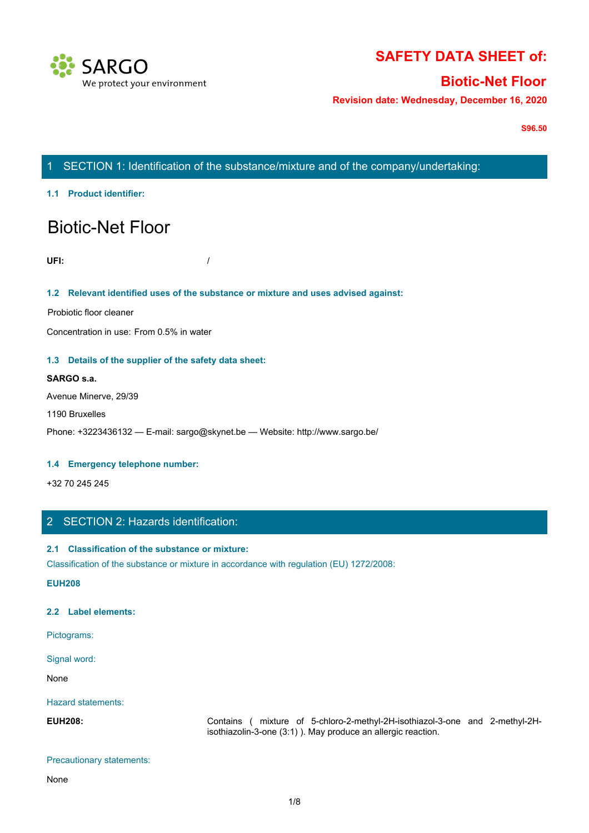

# **SAFETY DATA SHEET of:**

# **Biotic-Net Floor**

**Revision date: Wednesday, December 16, 2020**

**S96.50**

# 1 SECTION 1: Identification of the substance/mixture and of the company/undertaking:

**1.1 Product identifier:**

# Biotic-Net Floor

**UFI:** /

**1.2 Relevant identified uses of the substance or mixture and uses advised against:**

Probiotic floor cleaner

Concentration in use: From 0.5% in water

#### **1.3 Details of the supplier of the safety data sheet:**

#### **SARGO s.a.**

Avenue Minerve, 29/39

#### 1190 Bruxelles

Phone: +3223436132 — E-mail: sargo@skynet.be — Website: http://www.sargo.be/

#### **1.4 Emergency telephone number:**

+32 70 245 245

# 2 SECTION 2: Hazards identification:

#### **2.1 Classification of the substance or mixture:**

Classification of the substance or mixture in accordance with regulation (EU) 1272/2008:

**EUH208**

#### **2.2 Label elements:**

Pictograms:

Signal word:

None with the contract of the contract of the contract of the contract of the contract of the contract of the contract of the contract of the contract of the contract of the contract of the contract of the contract of the

Hazard statements:

**ENDE:** +1223436132 — E-mail: sargo@skynet.be — Website: http://www.sargo.be/<br>
1.4 Emergency telephone number:<br>
1.32 70 245 245<br>
2. SECTION 2: Hazard's identification:<br>
2.1 Classification of the substance or mixture in acc isothiazolin-3-one (3:1) ). May produce an allergic reaction.

#### Precautionary statements:

None with the contract of the contract of the contract of the contract of the contract of the contract of the contract of the contract of the contract of the contract of the contract of the contract of the contract of the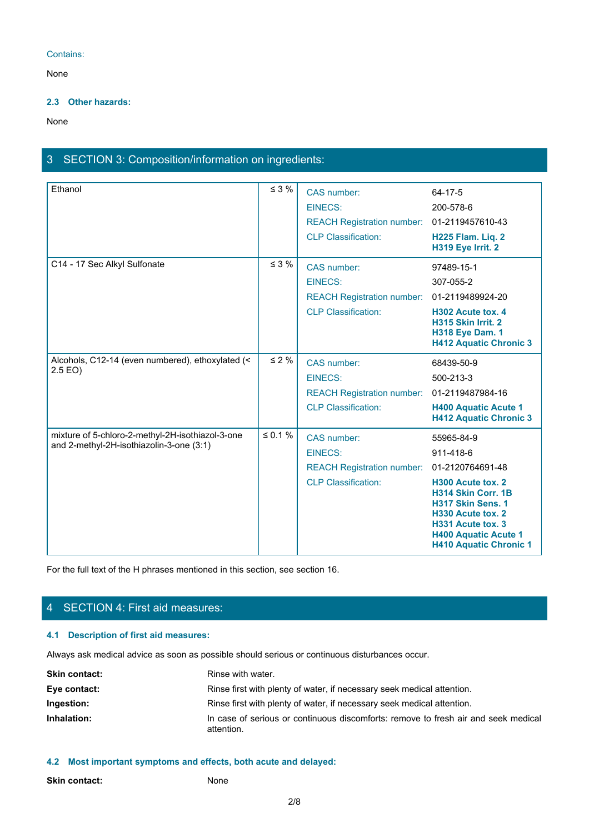### Contains:

None with the contract of the contract of the contract of the contract of the contract of the contract of the contract of the contract of the contract of the contract of the contract of the contract of the contract of the

#### **2.3 Other hazards:**

None with the contract of the contract of the contract of the contract of the contract of the contract of the contract of the contract of the contract of the contract of the contract of the contract of the contract of the

# 3 SECTION 3: Composition/information on ingredients:

| Ethanol                                          | $\leq$ 3 %   | CAS number:                                 | $64 - 17 - 5$                                                                                                                                                                 |
|--------------------------------------------------|--------------|---------------------------------------------|-------------------------------------------------------------------------------------------------------------------------------------------------------------------------------|
|                                                  |              | <b>EINECS:</b>                              | 200-578-6                                                                                                                                                                     |
|                                                  |              | REACH Registration number: 01-2119457610-43 |                                                                                                                                                                               |
|                                                  |              | <b>CLP Classification:</b>                  | H225 Flam. Liq. 2<br>H319 Eye Irrit. 2                                                                                                                                        |
| C14 - 17 Sec Alkyl Sulfonate                     | $\leq$ 3 %   | CAS number:                                 | 97489-15-1                                                                                                                                                                    |
|                                                  |              | <b>EINECS:</b>                              | 307-055-2                                                                                                                                                                     |
|                                                  |              | REACH Registration number: 01-2119489924-20 |                                                                                                                                                                               |
|                                                  |              | <b>CLP Classification:</b>                  | H302 Acute tox. 4<br>H315 Skin Irrit. 2<br><b>H318 Eye Dam. 1</b><br><b>H412 Aquatic Chronic 3</b>                                                                            |
| Alcohols, C12-14 (even numbered), ethoxylated (< | $\leq 2 \%$  | <b>CAS</b> number:                          | 68439-50-9                                                                                                                                                                    |
| $2.5$ EO)                                        |              | <b>EINECS:</b>                              | 500-213-3                                                                                                                                                                     |
|                                                  |              | REACH Registration number: 01-2119487984-16 |                                                                                                                                                                               |
|                                                  |              | <b>CLP Classification:</b>                  | <b>H400 Aquatic Acute 1</b><br><b>H412 Aquatic Chronic 3</b>                                                                                                                  |
| mixture of 5-chloro-2-methyl-2H-isothiazol-3-one | $\leq 0.1$ % | CAS number:                                 | 55965-84-9                                                                                                                                                                    |
| and 2-methyl-2H-isothiazolin-3-one (3:1)         |              | <b>EINECS:</b>                              | 911-418-6                                                                                                                                                                     |
|                                                  |              | <b>REACH Registration number:</b>           | 01-2120764691-48                                                                                                                                                              |
|                                                  |              | <b>CLP Classification:</b>                  | H300 Acute tox. 2<br><b>H314 Skin Corr. 1B</b><br>H317 Skin Sens. 1<br>H330 Acute tox. 2<br>H331 Acute tox. 3<br><b>H400 Aquatic Acute 1</b><br><b>H410 Aquatic Chronic 1</b> |

For the full text of the H phrases mentioned in this section, see section 16.

# 4 SECTION 4: First aid measures:

## **4.1 Description of first aid measures:**

Always ask medical advice as soon as possible should serious or continuous disturbances occur.

| <b>Skin contact:</b> | Rinse with water.                                                                                |
|----------------------|--------------------------------------------------------------------------------------------------|
| Eye contact:         | Rinse first with plenty of water, if necessary seek medical attention.                           |
| Ingestion:           | Rinse first with plenty of water, if necessary seek medical attention.                           |
| Inhalation:          | In case of serious or continuous discomforts: remove to fresh air and seek medical<br>attention. |

#### **4.2 Most important symptoms and effects, both acute and delayed:**

| <b>Skin contact:</b> | None |
|----------------------|------|
|----------------------|------|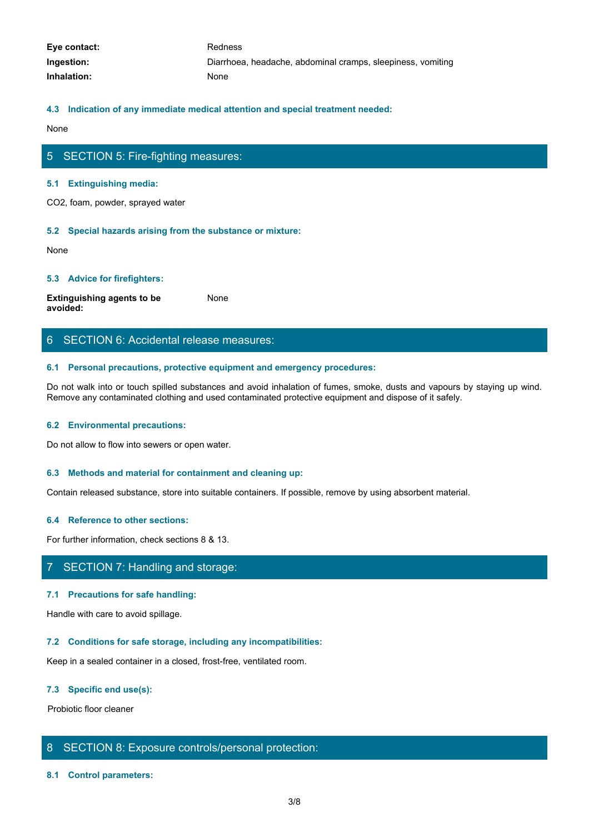| Eye contact: | Redness                                                     |
|--------------|-------------------------------------------------------------|
| Ingestion:   | Diarrhoea, headache, abdominal cramps, sleepiness, vomiting |
| Inhalation:  | None                                                        |

#### **4.3 Indication of any immediate medical attention and special treatment needed:**

None with the contract of the contract of the contract of the contract of the contract of the contract of the contract of the contract of the contract of the contract of the contract of the contract of the contract of the

# 5 SECTION 5: Fire-fighting measures:

#### **5.1 Extinguishing media:**

CO2, foam, powder, sprayed water

#### **5.2 Special hazards arising from the substance or mixture:**

None with the contract of the contract of the contract of the contract of the contract of the contract of the contract of the contract of the contract of the contract of the contract of the contract of the contract of the

#### **5.3 Advice for firefighters:**

**Extinguishing agents to be avoided:** None with the contract of the contract of the contract of the contract of the contract of the contract of the contract of the contract of the contract of the contract of the contract of the contract of the contract of the

### 6 SECTION 6: Accidental release measures:

#### **6.1 Personal precautions, protective equipment and emergency procedures:**

Do not walk into or touch spilled substances and avoid inhalation of fumes, smoke, dusts and vapours by staying up wind. Remove any contaminated clothing and used contaminated protective equipment and dispose of it safely.

#### **6.2 Environmental precautions:**

Do not allow to flow into sewers or open water.

#### **6.3 Methods and material for containment and cleaning up:**

Contain released substance, store into suitable containers. If possible, remove by using absorbent material.

#### **6.4 Reference to other sections:**

For further information, check sections 8 & 13.

# 7 SECTION 7: Handling and storage:

#### **7.1 Precautions for safe handling:**

Handle with care to avoid spillage.

#### **7.2 Conditions for safe storage, including any incompatibilities:**

Keep in a sealed container in a closed, frost-free, ventilated room.

#### **7.3 Specific end use(s):**

Probiotic floor cleaner

### 8 SECTION 8: Exposure controls/personal protection:

#### **8.1 Control parameters:**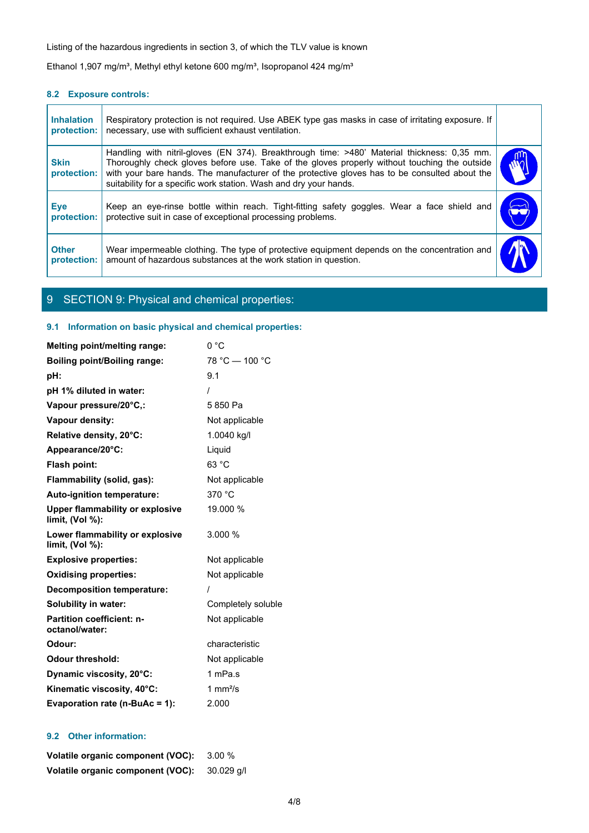### **8.2 Exposure controls:**

|                                  | Listing of the hazardous ingredients in section 3, of which the TLV value is known                                                                                                                                                                                                                                                                                |  |
|----------------------------------|-------------------------------------------------------------------------------------------------------------------------------------------------------------------------------------------------------------------------------------------------------------------------------------------------------------------------------------------------------------------|--|
|                                  | Ethanol 1,907 mg/m <sup>3</sup> , Methyl ethyl ketone 600 mg/m <sup>3</sup> , Isopropanol 424 mg/m <sup>3</sup>                                                                                                                                                                                                                                                   |  |
| 8.2 Exposure controls:           |                                                                                                                                                                                                                                                                                                                                                                   |  |
| <b>Inhalation</b><br>protection: | Respiratory protection is not required. Use ABEK type gas masks in case of irritating exposure. If<br>necessary, use with sufficient exhaust ventilation.                                                                                                                                                                                                         |  |
| <b>Skin</b><br>protection:       | Handling with nitril-gloves (EN 374). Breakthrough time: >480' Material thickness: 0,35 mm.<br>Thoroughly check gloves before use. Take of the gloves properly without touching the outside<br>with your bare hands. The manufacturer of the protective gloves has to be consulted about the<br>suitability for a specific work station. Wash and dry your hands. |  |
| Eye<br>protection:               | Keep an eye-rinse bottle within reach. Tight-fitting safety goggles. Wear a face shield and<br>protective suit in case of exceptional processing problems.                                                                                                                                                                                                        |  |
|                                  |                                                                                                                                                                                                                                                                                                                                                                   |  |
| <b>Other</b><br>protection:      | Wear impermeable clothing. The type of protective equipment depends on the concentration and<br>amount of hazardous substances at the work station in question.                                                                                                                                                                                                   |  |

# 9 SECTION 9: Physical and chemical properties:

### **9.1 Information on basic physical and chemical properties:**

| <b>Melting point/melting range:</b>                          | 0 °C               |
|--------------------------------------------------------------|--------------------|
| <b>Boiling point/Boiling range:</b>                          | 78 °C - 100 °C     |
| pH:                                                          | 9.1                |
| pH 1% diluted in water:                                      |                    |
| Vapour pressure/20°C,:                                       | 5850 Pa            |
| Vapour density:                                              | Not applicable     |
| Relative density, 20°C:                                      | 1.0040 kg/l        |
| Appearance/20°C:                                             | Liquid             |
| Flash point:                                                 | 63 °C              |
| Flammability (solid, gas):                                   | Not applicable     |
| Auto-ignition temperature:                                   | 370 °C             |
| <b>Upper flammability or explosive</b><br>limit, $(Vol %)$ : | 19.000 %           |
| Lower flammability or explosive<br>limit, (Vol %):           | 3.000 %            |
| <b>Explosive properties:</b>                                 | Not applicable     |
| <b>Oxidising properties:</b>                                 | Not applicable     |
| <b>Decomposition temperature:</b>                            |                    |
| <b>Solubility in water:</b>                                  | Completely soluble |
| <b>Partition coefficient: n-</b><br>octanol/water:           | Not applicable     |
| Odour:                                                       | characteristic     |
| <b>Odour threshold:</b>                                      | Not applicable     |
| Dynamic viscosity, 20°C:                                     | 1 mPa.s            |
| Kinematic viscosity, 40°C:                                   | 1 $mm2/s$          |
| Evaporation rate (n-BuAc = 1):                               | 2.000              |

## **9.2 Other information:**

| Volatile organic component (VOC): 3.00 %     |  |
|----------------------------------------------|--|
| Volatile organic component (VOC): 30.029 q/l |  |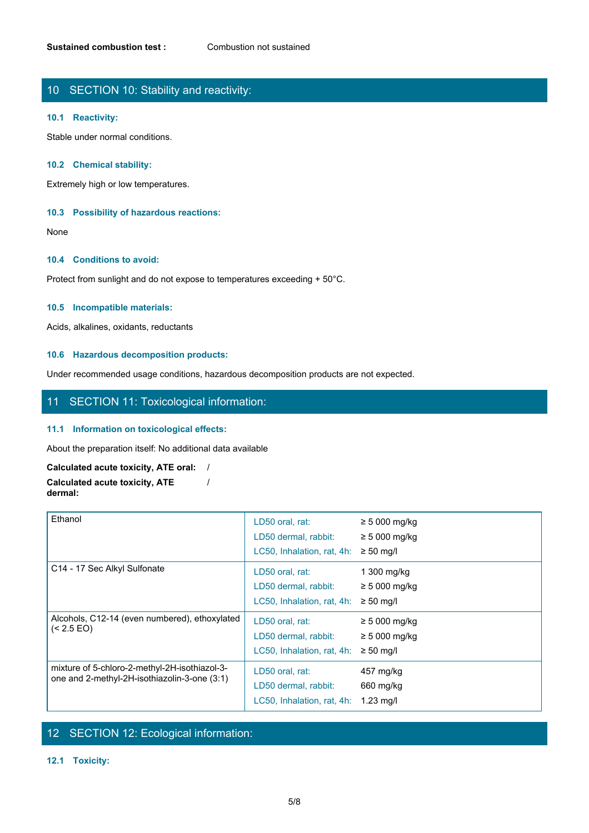# 10 SECTION 10: Stability and reactivity:

#### **10.1 Reactivity:**

Stable under normal conditions.

#### **10.2 Chemical stability:**

Extremely high or low temperatures.

#### **10.3 Possibility of hazardous reactions:**

None with the contract of the contract of the contract of the contract of the contract of the contract of the contract of the contract of the contract of the contract of the contract of the contract of the contract of the

#### **10.4 Conditions to avoid:**

Protect from sunlight and do not expose to temperatures exceeding + 50°C.

#### **10.5 Incompatible materials:**

Acids, alkalines, oxidants, reductants

#### **10.6 Hazardous decomposition products:**

Under recommended usage conditions, hazardous decomposition products are not expected.

/

### 11 SECTION 11: Toxicological information:

#### **11.1 Information on toxicological effects:**

About the preparation itself: No additional data available

#### **Calculated acute toxicity, ATE oral:** / **Calculated acute toxicity, ATE dermal:**

| Ethanol                                                                                       | LD50 oral, rat:<br>LD50 dermal, rabbit:<br>LC50, Inhalation, rat, 4h: | $\geq$ 5 000 mg/kg<br>$\geq$ 5 000 mg/kg<br>$\geq 50$ mg/l |
|-----------------------------------------------------------------------------------------------|-----------------------------------------------------------------------|------------------------------------------------------------|
| C14 - 17 Sec Alkyl Sulfonate                                                                  | LD50 oral, rat:<br>LD50 dermal, rabbit:<br>LC50, Inhalation, rat, 4h: | 1 300 mg/kg<br>$\geq 5000$ mg/kg<br>$\geq 50$ mg/l         |
| Alcohols, C12-14 (even numbered), ethoxylated<br>(< 2.5 EO)                                   | LD50 oral, rat:<br>LD50 dermal, rabbit:<br>LC50, Inhalation, rat, 4h: | $\geq 5000$ mg/kg<br>$\geq$ 5 000 mg/kg<br>$\geq 50$ mg/l  |
| mixture of 5-chloro-2-methyl-2H-isothiazol-3-<br>one and 2-methyl-2H-isothiazolin-3-one (3:1) | LD50 oral, rat:<br>LD50 dermal, rabbit:<br>LC50, Inhalation, rat, 4h: | 457 mg/kg<br>660 mg/kg<br>$1.23$ mg/l                      |

# 12 SECTION 12: Ecological information:

### **12.1 Toxicity:**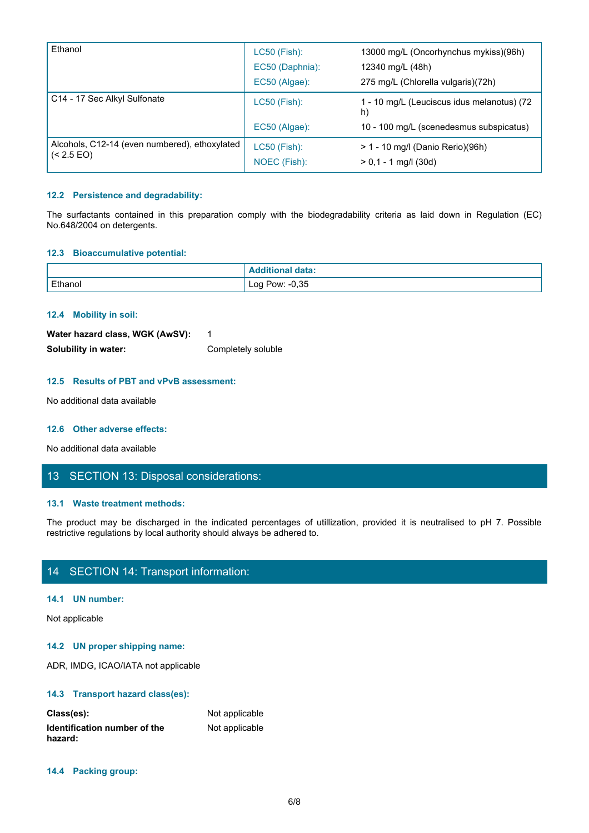| Ethanol                                                                                                                                                                                      | LC50 (Fish):                     | 13000 mg/L (Oncorhynchus mykiss)(96h)                  |
|----------------------------------------------------------------------------------------------------------------------------------------------------------------------------------------------|----------------------------------|--------------------------------------------------------|
|                                                                                                                                                                                              | EC50 (Daphnia):<br>EC50 (Algae): | 12340 mg/L (48h)<br>275 mg/L (Chlorella vulgaris)(72h) |
|                                                                                                                                                                                              |                                  |                                                        |
| C14 - 17 Sec Alkyl Sulfonate                                                                                                                                                                 | LC50 (Fish):                     | 1 - 10 mg/L (Leuciscus idus melanotus) (72<br>h)       |
|                                                                                                                                                                                              | EC50 (Algae):                    | 10 - 100 mg/L (scenedesmus subspicatus)                |
| Alcohols, C12-14 (even numbered), ethoxylated<br>$\left( < 2.5 \text{ EO} \right)$                                                                                                           | LC50 (Fish):                     | > 1 - 10 mg/l (Danio Rerio)(96h)                       |
|                                                                                                                                                                                              | NOEC (Fish):                     | $> 0,1 - 1$ mg/l (30d)                                 |
| 12.2 Persistence and degradability:<br>The surfactants contained in this preparation comply with the biodegradability criteria as laid down in Regulation (EC)<br>No.648/2004 on detergents. |                                  |                                                        |
| 12.3 Bioaccumulative potential:                                                                                                                                                              |                                  |                                                        |
|                                                                                                                                                                                              | <b>Additional data:</b>          |                                                        |
| Ethanol                                                                                                                                                                                      | Log Pow: -0,35                   |                                                        |

#### **12.2 Persistence and degradability:**

#### **12.3 Bioaccumulative potential:**

| No.648/2004 on detergents.                                              |                                                                                                                          |  |
|-------------------------------------------------------------------------|--------------------------------------------------------------------------------------------------------------------------|--|
| 12.3 Bioaccumulative potential:                                         |                                                                                                                          |  |
|                                                                         | <b>Additional data:</b>                                                                                                  |  |
| Ethanol                                                                 | Log Pow: -0,35                                                                                                           |  |
| 12.4 Mobility in soil:                                                  |                                                                                                                          |  |
| Water hazard class, WGK (AwSV):                                         | $\overline{\mathbf{1}}$                                                                                                  |  |
| Solubility in water:                                                    | Completely soluble                                                                                                       |  |
| 12.5 Results of PBT and vPvB assessment:                                |                                                                                                                          |  |
| No additional data available                                            |                                                                                                                          |  |
| 12.6 Other adverse effects:                                             |                                                                                                                          |  |
| No additional data available                                            |                                                                                                                          |  |
| 13 SECTION 13: Disposal considerations:                                 |                                                                                                                          |  |
| 13.1 Waste treatment methods:                                           |                                                                                                                          |  |
| restrictive regulations by local authority should always be adhered to. | The product may be discharged in the indicated percentages of utillization, provided it is neutralised to pH 7. Possible |  |
| 14 SECTION 14: Transport information:                                   |                                                                                                                          |  |
| $\mathbf{A}$ and $\mathbf{A}$ are associated by the set of $\mathbf{A}$ |                                                                                                                          |  |

#### **12.4 Mobility in soil:**

| Water hazard class, WGK (AwSV): |                    |
|---------------------------------|--------------------|
| Solubility in water:            | Completely soluble |

#### **12.5 Results of PBT and vPvB assessment:**

#### **12.6 Other adverse effects:**

# 13 SECTION 13: Disposal considerations:

#### **13.1 Waste treatment methods:**

# 14 SECTION 14: Transport information:

#### **14.1 UN number:**

Not applicable

#### **14.2 UN proper shipping name:**

ADR, IMDG, ICAO/IATA not applicable

#### **14.3 Transport hazard class(es):**

| Class(es):                   | Not applicable |
|------------------------------|----------------|
| Identification number of the | Not applicable |
| hazard:                      |                |

#### **14.4 Packing group:**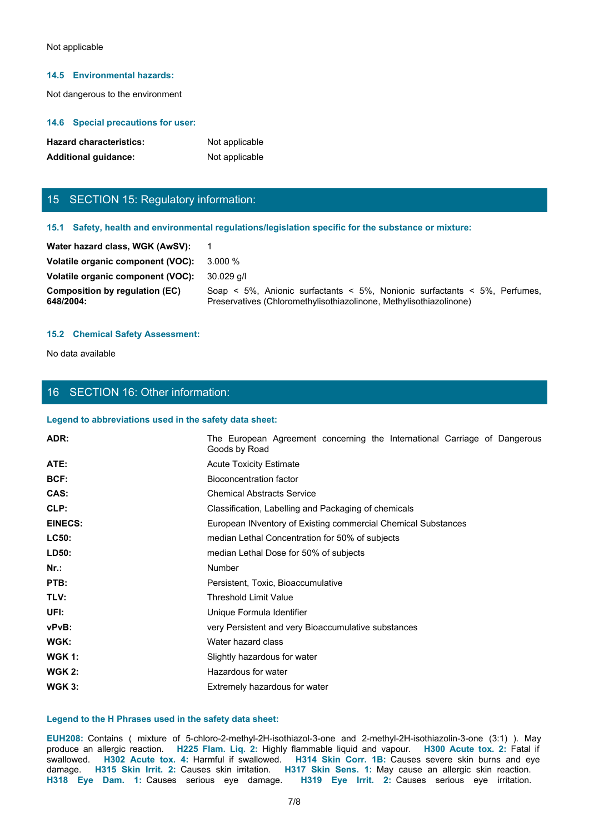#### **14.5 Environmental hazards:**

#### **14.6 Special precautions for user:**

| <b>Hazard characteristics:</b> | Not applicable |
|--------------------------------|----------------|
| <b>Additional quidance:</b>    | Not applicable |

# 15 SECTION 15: Regulatory information:

#### **15.1 Safety, health and environmental regulations/legislation specific for the substance or mixture:**

| Not applicable                                     |                                                                                                                                                 |  |
|----------------------------------------------------|-------------------------------------------------------------------------------------------------------------------------------------------------|--|
|                                                    |                                                                                                                                                 |  |
| 14.5 Environmental hazards:                        |                                                                                                                                                 |  |
| Not dangerous to the environment                   |                                                                                                                                                 |  |
|                                                    |                                                                                                                                                 |  |
| 14.6 Special precautions for user:                 |                                                                                                                                                 |  |
| <b>Hazard characteristics:</b>                     | Not applicable                                                                                                                                  |  |
| <b>Additional guidance:</b>                        | Not applicable                                                                                                                                  |  |
|                                                    |                                                                                                                                                 |  |
| 15 SECTION 15: Regulatory information:             |                                                                                                                                                 |  |
|                                                    |                                                                                                                                                 |  |
|                                                    | 15.1 Safety, health and environmental regulations/legislation specific for the substance or mixture:                                            |  |
| Water hazard class, WGK (AwSV):                    | $\mathbf 1$                                                                                                                                     |  |
| Volatile organic component (VOC):                  | 3.000 %                                                                                                                                         |  |
| Volatile organic component (VOC):                  | 30.029 g/l                                                                                                                                      |  |
| <b>Composition by regulation (EC)</b><br>648/2004: | Soap < 5%, Anionic surfactants < 5%, Nonionic surfactants < 5%, Perfumes,<br>Preservatives (Chloromethylisothiazolinone, Methylisothiazolinone) |  |
|                                                    |                                                                                                                                                 |  |
| <b>15.2 Chemical Safety Assessment:</b>            |                                                                                                                                                 |  |
| No data available                                  |                                                                                                                                                 |  |
|                                                    |                                                                                                                                                 |  |

#### **15.2 Chemical Safety Assessment:**

# 16 SECTION 16: Other information:

#### **Legend to abbreviations used in the safety data sheet:**

| <b>Hazard characteristics:</b>                         | Not applicable                                                                                                                                                                                                                                                                                                                                                                                                                                                                                                                                                      |
|--------------------------------------------------------|---------------------------------------------------------------------------------------------------------------------------------------------------------------------------------------------------------------------------------------------------------------------------------------------------------------------------------------------------------------------------------------------------------------------------------------------------------------------------------------------------------------------------------------------------------------------|
| <b>Additional guidance:</b>                            | Not applicable                                                                                                                                                                                                                                                                                                                                                                                                                                                                                                                                                      |
| 15 SECTION 15: Regulatory information:                 |                                                                                                                                                                                                                                                                                                                                                                                                                                                                                                                                                                     |
|                                                        | 15.1 Safety, health and environmental regulations/legislation specific for the substance or mixture:                                                                                                                                                                                                                                                                                                                                                                                                                                                                |
| Water hazard class, WGK (AwSV):                        | -1                                                                                                                                                                                                                                                                                                                                                                                                                                                                                                                                                                  |
| Volatile organic component (VOC):                      | 3.000 %                                                                                                                                                                                                                                                                                                                                                                                                                                                                                                                                                             |
| Volatile organic component (VOC):                      | 30.029 g/l                                                                                                                                                                                                                                                                                                                                                                                                                                                                                                                                                          |
| <b>Composition by regulation (EC)</b><br>648/2004:     | Soap < 5%, Anionic surfactants < 5%, Nonionic surfactants < 5%, Perfumes,<br>Preservatives (Chloromethylisothiazolinone, Methylisothiazolinone)                                                                                                                                                                                                                                                                                                                                                                                                                     |
| <b>15.2 Chemical Safety Assessment:</b>                |                                                                                                                                                                                                                                                                                                                                                                                                                                                                                                                                                                     |
| No data available                                      |                                                                                                                                                                                                                                                                                                                                                                                                                                                                                                                                                                     |
|                                                        |                                                                                                                                                                                                                                                                                                                                                                                                                                                                                                                                                                     |
| 16 SECTION 16: Other information:                      |                                                                                                                                                                                                                                                                                                                                                                                                                                                                                                                                                                     |
| Legend to abbreviations used in the safety data sheet: |                                                                                                                                                                                                                                                                                                                                                                                                                                                                                                                                                                     |
| ADR:                                                   | The European Agreement concerning the International Carriage of Dangerous<br>Goods by Road                                                                                                                                                                                                                                                                                                                                                                                                                                                                          |
| ATE:                                                   | <b>Acute Toxicity Estimate</b>                                                                                                                                                                                                                                                                                                                                                                                                                                                                                                                                      |
| BCF:                                                   | <b>Bioconcentration factor</b>                                                                                                                                                                                                                                                                                                                                                                                                                                                                                                                                      |
| CAS:                                                   | <b>Chemical Abstracts Service</b>                                                                                                                                                                                                                                                                                                                                                                                                                                                                                                                                   |
| CLP:                                                   | Classification, Labelling and Packaging of chemicals                                                                                                                                                                                                                                                                                                                                                                                                                                                                                                                |
| <b>EINECS:</b>                                         | European INventory of Existing commercial Chemical Substances                                                                                                                                                                                                                                                                                                                                                                                                                                                                                                       |
| LC50:                                                  | median Lethal Concentration for 50% of subjects                                                                                                                                                                                                                                                                                                                                                                                                                                                                                                                     |
| LD50:                                                  | median Lethal Dose for 50% of subjects                                                                                                                                                                                                                                                                                                                                                                                                                                                                                                                              |
| $Nr.$ :                                                | Number                                                                                                                                                                                                                                                                                                                                                                                                                                                                                                                                                              |
| PTB:                                                   | Persistent, Toxic, Bioaccumulative                                                                                                                                                                                                                                                                                                                                                                                                                                                                                                                                  |
| TLV:                                                   | <b>Threshold Limit Value</b>                                                                                                                                                                                                                                                                                                                                                                                                                                                                                                                                        |
| UFI:                                                   | Unique Formula Identifier                                                                                                                                                                                                                                                                                                                                                                                                                                                                                                                                           |
| vPvB:                                                  | very Persistent and very Bioaccumulative substances                                                                                                                                                                                                                                                                                                                                                                                                                                                                                                                 |
| WGK:                                                   | Water hazard class                                                                                                                                                                                                                                                                                                                                                                                                                                                                                                                                                  |
| <b>WGK 1:</b>                                          | Slightly hazardous for water                                                                                                                                                                                                                                                                                                                                                                                                                                                                                                                                        |
| <b>WGK 2:</b>                                          | Hazardous for water                                                                                                                                                                                                                                                                                                                                                                                                                                                                                                                                                 |
| <b>WGK 3:</b>                                          | Extremely hazardous for water                                                                                                                                                                                                                                                                                                                                                                                                                                                                                                                                       |
| Legend to the H Phrases used in the safety data sheet: |                                                                                                                                                                                                                                                                                                                                                                                                                                                                                                                                                                     |
|                                                        | EUH208: Contains ( mixture of 5-chloro-2-methyl-2H-isothiazol-3-one and 2-methyl-2H-isothiazolin-3-one (3:1) ). May<br>produce an allergic reaction. H225 Flam. Liq. 2: Highly flammable liquid and vapour. H300 Acute tox. 2: Fatal if<br>swallowed. H302 Acute tox. 4: Harmful if swallowed. H314 Skin Corr. 1B: Causes severe skin burns and eye<br>damage. H315 Skin Irrit. 2: Causes skin irritation. H317 Skin Sens. 1: May cause an allergic skin reaction.<br>H318 Eye Dam. 1: Causes serious eye damage. H319 Eye Irrit. 2: Causes serious eye irritation. |
|                                                        | 7/8                                                                                                                                                                                                                                                                                                                                                                                                                                                                                                                                                                 |
|                                                        |                                                                                                                                                                                                                                                                                                                                                                                                                                                                                                                                                                     |
|                                                        |                                                                                                                                                                                                                                                                                                                                                                                                                                                                                                                                                                     |

#### **Legend to the H Phrases used in the safety data sheet:**